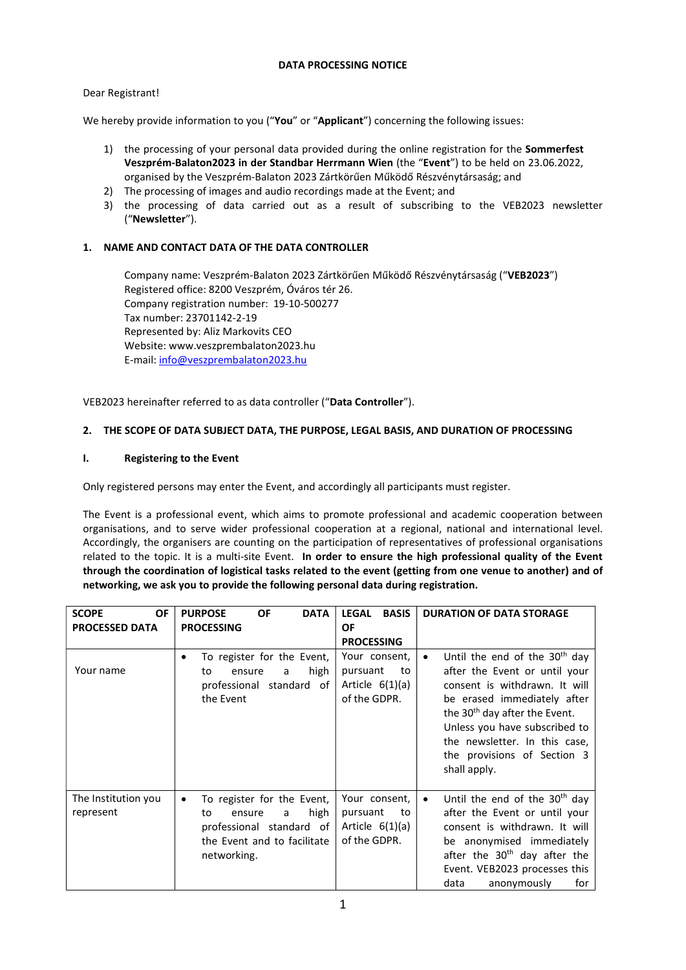## DATA PROCESSING NOTICE

## Dear Registrant!

We hereby provide information to you ("You" or "Applicant") concerning the following issues:

- 1) the processing of your personal data provided during the online registration for the Sommerfest Veszprém-Balaton2023 in der Standbar Herrmann Wien (the "Event") to be held on 23.06.2022, organised by the Veszprém-Balaton 2023 Zártkörűen Működő Részvénytársaság; and
- 2) The processing of images and audio recordings made at the Event; and
- 3) the processing of data carried out as a result of subscribing to the VEB2023 newsletter ("Newsletter").

## 1. NAME AND CONTACT DATA OF THE DATA CONTROLLER

Company name: Veszprém-Balaton 2023 Zártkörűen Működő Részvénytársaság ("VEB2023") Registered office: 8200 Veszprém, Óváros tér 26. Company registration number: 19-10-500277 Tax number: 23701142-2-19 Represented by: Aliz Markovits CEO Website: www.veszprembalaton2023.hu E-mail: info@veszprembalaton2023.hu

VEB2023 hereinafter referred to as data controller ("Data Controller").

## 2. THE SCOPE OF DATA SUBJECT DATA, THE PURPOSE, LEGAL BASIS, AND DURATION OF PROCESSING

## I. Registering to the Event

Only registered persons may enter the Event, and accordingly all participants must register.

The Event is a professional event, which aims to promote professional and academic cooperation between organisations, and to serve wider professional cooperation at a regional, national and international level. Accordingly, the organisers are counting on the participation of representatives of professional organisations related to the topic. It is a multi-site Event. In order to ensure the high professional quality of the Event through the coordination of logistical tasks related to the event (getting from one venue to another) and of networking, we ask you to provide the following personal data during registration.

| <b>OF</b><br><b>SCOPE</b><br><b>PROCESSED DATA</b> | <b>OF</b><br><b>DATA</b><br><b>PURPOSE</b><br><b>PROCESSING</b>                                                                        | <b>LEGAL</b><br><b>BASIS</b><br>OF<br><b>PROCESSING</b>              | <b>DURATION OF DATA STORAGE</b>                                                                                                                                                                                                                                                                |
|----------------------------------------------------|----------------------------------------------------------------------------------------------------------------------------------------|----------------------------------------------------------------------|------------------------------------------------------------------------------------------------------------------------------------------------------------------------------------------------------------------------------------------------------------------------------------------------|
| Your name                                          | To register for the Event,<br>٠<br>high<br>ensure<br>to<br>a<br>professional standard of<br>the Event                                  | Your consent,<br>pursuant<br>to<br>Article $6(1)(a)$<br>of the GDPR. | Until the end of the $30th$ day<br>after the Event or until your<br>consent is withdrawn. It will<br>be erased immediately after<br>the 30 <sup>th</sup> day after the Event.<br>Unless you have subscribed to<br>the newsletter. In this case,<br>the provisions of Section 3<br>shall apply. |
| The Institution you<br>represent                   | To register for the Event,<br>٠<br>high<br>to<br>ensure<br>a<br>professional standard of<br>the Event and to facilitate<br>networking. | Your consent,<br>pursuant<br>to<br>Article $6(1)(a)$<br>of the GDPR. | Until the end of the $30th$ day<br>$\bullet$<br>after the Event or until your<br>consent is withdrawn. It will<br>be anonymised immediately<br>after the $30th$ day after the<br>Event. VEB2023 processes this<br>data<br>anonymously<br>for                                                   |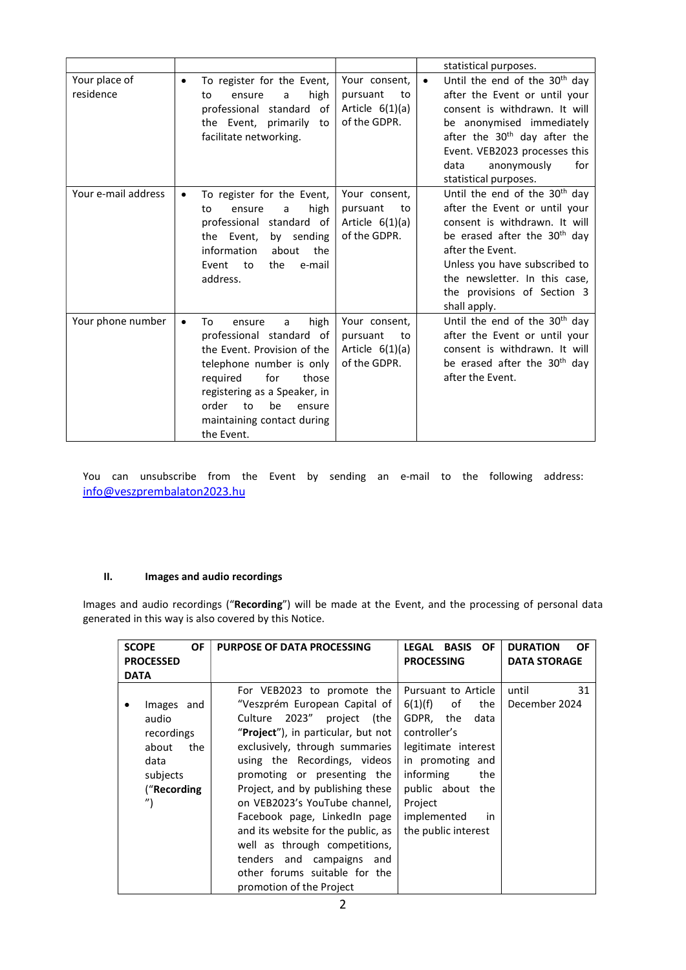|                            |                                                                                                                                                                                                                                                                      |                                                                      | statistical purposes.                                                                                                                                                                                                                                                                        |
|----------------------------|----------------------------------------------------------------------------------------------------------------------------------------------------------------------------------------------------------------------------------------------------------------------|----------------------------------------------------------------------|----------------------------------------------------------------------------------------------------------------------------------------------------------------------------------------------------------------------------------------------------------------------------------------------|
| Your place of<br>residence | To register for the Event,<br>$\bullet$<br>high<br>ensure<br>to<br>a<br>professional standard of<br>the Event, primarily<br>to<br>facilitate networking.                                                                                                             | Your consent,<br>pursuant<br>to<br>Article $6(1)(a)$<br>of the GDPR. | Until the end of the 30 <sup>th</sup> day<br>$\bullet$<br>after the Event or until your<br>consent is withdrawn. It will<br>be anonymised immediately<br>after the 30 <sup>th</sup> day after the<br>Event. VEB2023 processes this<br>data<br>anonymously<br>for<br>statistical purposes.    |
| Your e-mail address        | To register for the Event,<br>high<br>ensure<br>to<br>a<br>professional<br>standard of<br>the Event,<br>by sending<br>information<br>about<br>the<br>Event<br>to<br>the<br>e-mail<br>address.                                                                        | Your consent,<br>pursuant<br>to<br>Article $6(1)(a)$<br>of the GDPR. | Until the end of the 30 <sup>th</sup> day<br>after the Event or until your<br>consent is withdrawn. It will<br>be erased after the 30 <sup>th</sup> day<br>after the Event.<br>Unless you have subscribed to<br>the newsletter. In this case,<br>the provisions of Section 3<br>shall apply. |
| Your phone number          | high<br>To<br>ensure<br>a<br>$\bullet$<br>professional standard of<br>the Event. Provision of the<br>telephone number is only<br>for<br>required<br>those<br>registering as a Speaker, in<br>be<br>order<br>to<br>ensure<br>maintaining contact during<br>the Event. | Your consent,<br>pursuant<br>to<br>Article $6(1)(a)$<br>of the GDPR. | Until the end of the $30th$ day<br>after the Event or until your<br>consent is withdrawn. It will<br>be erased after the 30 <sup>th</sup> day<br>after the Event.                                                                                                                            |

You can unsubscribe from the Event by sending an e-mail to the following address: info@veszprembalaton2023.hu

# II. Images and audio recordings

Images and audio recordings ("Recording") will be made at the Event, and the processing of personal data generated in this way is also covered by this Notice.

|             | <b>SCOPE</b>      | OF  | <b>PURPOSE OF DATA PROCESSING</b>           | OF.<br><b>LEGAL BASIS</b> | <b>DURATION</b><br><b>OF</b> |
|-------------|-------------------|-----|---------------------------------------------|---------------------------|------------------------------|
|             | <b>PROCESSED</b>  |     |                                             | <b>PROCESSING</b>         | <b>DATA STORAGE</b>          |
|             |                   |     |                                             |                           |                              |
| <b>DATA</b> |                   |     |                                             |                           |                              |
|             |                   |     | For VEB2023 to promote the                  | Pursuant to Article       | until<br>31                  |
|             | Images and        |     | "Veszprém European Capital of               | 6(1)(f)<br>the<br>of      | December 2024                |
|             | audio             |     | Culture 2023"<br>project (the               | GDPR,<br>the<br>data      |                              |
|             | recordings        |     | " <b>Project</b> "), in particular, but not | controller's              |                              |
|             | about             | the | exclusively, through summaries              | legitimate interest       |                              |
|             | data              |     | using the Recordings, videos                | in promoting and          |                              |
|             | subjects          |     | promoting or presenting the                 | informing<br>the          |                              |
|             | ("Recording       |     | Project, and by publishing these            | public about the          |                              |
|             | $^{\prime\prime}$ |     | on VEB2023's YouTube channel,               | Project                   |                              |
|             |                   |     | Facebook page, LinkedIn page                | implemented<br>in.        |                              |
|             |                   |     | and its website for the public, as          | the public interest       |                              |
|             |                   |     | well as through competitions,               |                           |                              |
|             |                   |     | tenders and campaigns and                   |                           |                              |
|             |                   |     | other forums suitable for the               |                           |                              |
|             |                   |     | promotion of the Project                    |                           |                              |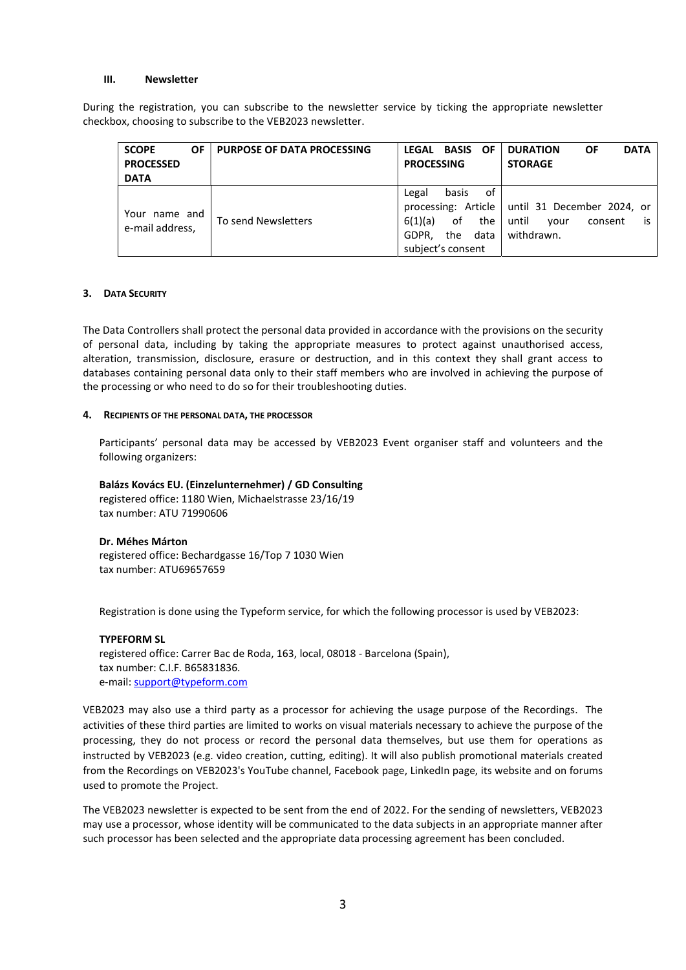#### III. Newsletter

During the registration, you can subscribe to the newsletter service by ticking the appropriate newsletter checkbox, choosing to subscribe to the VEB2023 newsletter.

| <b>SCOPE</b><br>OF.<br><b>PROCESSED</b><br><b>DATA</b> | <b>PURPOSE OF DATA PROCESSING</b> | <b>OF</b><br><b>LEGAL BASIS</b><br><b>PROCESSING</b>                                      | ΟF<br><b>DATA</b><br><b>DURATION</b><br><b>STORAGE</b>                                            |
|--------------------------------------------------------|-----------------------------------|-------------------------------------------------------------------------------------------|---------------------------------------------------------------------------------------------------|
| Your name and<br>e-mail address,                       | To send Newsletters               | οf<br>basis<br>Legal<br>6(1)(a)<br>οf<br>the<br>the<br>data<br>GDPR.<br>subject's consent | processing: Article   until 31 December 2024, or<br>until<br>is.<br>consent<br>vour<br>withdrawn. |

#### 3. DATA SECURITY

The Data Controllers shall protect the personal data provided in accordance with the provisions on the security of personal data, including by taking the appropriate measures to protect against unauthorised access, alteration, transmission, disclosure, erasure or destruction, and in this context they shall grant access to databases containing personal data only to their staff members who are involved in achieving the purpose of the processing or who need to do so for their troubleshooting duties.

#### 4. RECIPIENTS OF THE PERSONAL DATA, THE PROCESSOR

Participants' personal data may be accessed by VEB2023 Event organiser staff and volunteers and the following organizers:

Balázs Kovács EU. (Einzelunternehmer) / GD Consulting registered office: 1180 Wien, Michaelstrasse 23/16/19 tax number: ATU 71990606

Dr. Méhes Márton registered office: Bechardgasse 16/Top 7 1030 Wien tax number: ATU69657659

Registration is done using the Typeform service, for which the following processor is used by VEB2023:

## TYPEFORM SL

registered office: Carrer Bac de Roda, 163, local, 08018 - Barcelona (Spain), tax number: C.I.F. B65831836. e-mail: support@typeform.com

VEB2023 may also use a third party as a processor for achieving the usage purpose of the Recordings. The activities of these third parties are limited to works on visual materials necessary to achieve the purpose of the processing, they do not process or record the personal data themselves, but use them for operations as instructed by VEB2023 (e.g. video creation, cutting, editing). It will also publish promotional materials created from the Recordings on VEB2023's YouTube channel, Facebook page, LinkedIn page, its website and on forums used to promote the Project.

The VEB2023 newsletter is expected to be sent from the end of 2022. For the sending of newsletters, VEB2023 may use a processor, whose identity will be communicated to the data subjects in an appropriate manner after such processor has been selected and the appropriate data processing agreement has been concluded.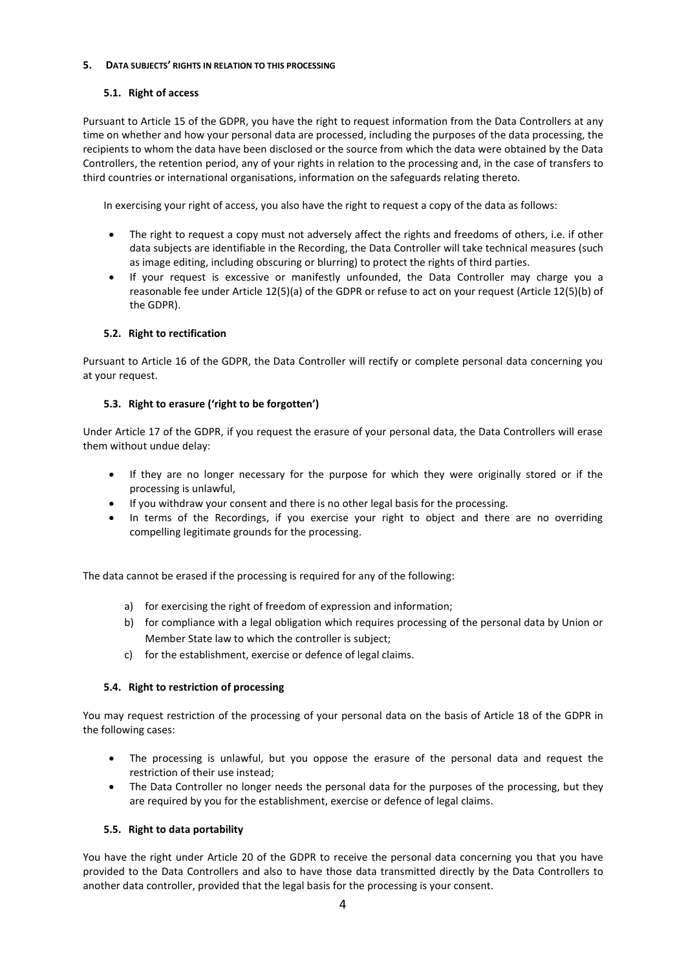### 5. DATA SUBJECTS' RIGHTS IN RELATION TO THIS PROCESSING

## 5.1. Right of access

Pursuant to Article 15 of the GDPR, you have the right to request information from the Data Controllers at any time on whether and how your personal data are processed, including the purposes of the data processing, the recipients to whom the data have been disclosed or the source from which the data were obtained by the Data Controllers, the retention period, any of your rights in relation to the processing and, in the case of transfers to third countries or international organisations, information on the safeguards relating thereto.

In exercising your right of access, you also have the right to request a copy of the data as follows:

- The right to request a copy must not adversely affect the rights and freedoms of others, i.e. if other data subjects are identifiable in the Recording, the Data Controller will take technical measures (such as image editing, including obscuring or blurring) to protect the rights of third parties.
- If your request is excessive or manifestly unfounded, the Data Controller may charge you a reasonable fee under Article 12(5)(a) of the GDPR or refuse to act on your request (Article 12(5)(b) of the GDPR).

## 5.2. Right to rectification

Pursuant to Article 16 of the GDPR, the Data Controller will rectify or complete personal data concerning you at your request.

## 5.3. Right to erasure ('right to be forgotten')

Under Article 17 of the GDPR, if you request the erasure of your personal data, the Data Controllers will erase them without undue delay:

- If they are no longer necessary for the purpose for which they were originally stored or if the processing is unlawful,
- If you withdraw your consent and there is no other legal basis for the processing.
- In terms of the Recordings, if you exercise your right to object and there are no overriding compelling legitimate grounds for the processing.

The data cannot be erased if the processing is required for any of the following:

- a) for exercising the right of freedom of expression and information;
- b) for compliance with a legal obligation which requires processing of the personal data by Union or Member State law to which the controller is subject;
- c) for the establishment, exercise or defence of legal claims.

## 5.4. Right to restriction of processing

You may request restriction of the processing of your personal data on the basis of Article 18 of the GDPR in the following cases:

- The processing is unlawful, but you oppose the erasure of the personal data and request the restriction of their use instead;
- The Data Controller no longer needs the personal data for the purposes of the processing, but they are required by you for the establishment, exercise or defence of legal claims.

## 5.5. Right to data portability

You have the right under Article 20 of the GDPR to receive the personal data concerning you that you have provided to the Data Controllers and also to have those data transmitted directly by the Data Controllers to another data controller, provided that the legal basis for the processing is your consent.